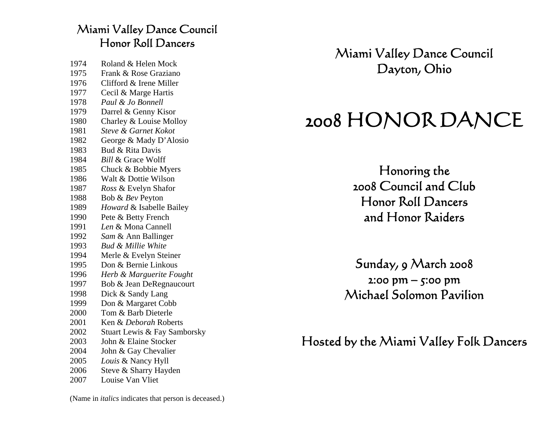#### Miami Valley Dance Council Honor Roll Dancers

| 1974 | Roland & Helen Mock           |
|------|-------------------------------|
| 1975 | Frank & Rose Graziano         |
| 1976 | Clifford & Irene Miller       |
| 1977 | Cecil & Marge Hartis          |
| 1978 | Paul & Jo Bonnell             |
| 1979 | Darrel & Genny Kisor          |
| 1980 | Charley & Louise Molloy       |
| 1981 | Steve & Garnet Kokot          |
| 1982 | George & Mady D'Alosio        |
| 1983 | Bud & Rita Davis              |
| 1984 | <b>Bill &amp; Grace Wolff</b> |
| 1985 | Chuck & Bobbie Myers          |
| 1986 | Walt & Dottie Wilson          |
| 1987 | Ross & Evelyn Shafor          |
| 1988 | Bob & Bev Peyton              |
| 1989 | Howard & Isabelle Bailey      |
| 1990 | Pete & Betty French           |
| 1991 | Len & Mona Cannell            |
| 1992 | Sam & Ann Ballinger           |
| 1993 | <b>Bud &amp; Millie White</b> |
| 1994 | Merle & Evelyn Steiner        |
| 1995 | Don & Bernie Linkous          |
| 1996 | Herb & Marguerite Fought      |
| 1997 | Bob & Jean DeRegnaucourt      |
| 1998 | Dick & Sandy Lang             |
| 1999 | Don & Margaret Cobb           |
| 2000 | Tom & Barb Dieterle           |
| 2001 | Ken & Deborah Roberts         |
| 2002 | Stuart Lewis & Fay Samborsky  |
| 2003 | John & Elaine Stocker         |
| 2004 | John & Gay Chevalier          |
| 2005 | Louis & Nancy Hyll            |
| 2006 | Steve & Sharry Hayden         |
| 2007 | Louise Van Vliet              |

Miami Valley Dance Council Dayton, Ohio

# 2008 HONOR DANCE

Honoring the 2008 Council and Club Honor Roll Dancers and Honor Raiders

Sunday, 9 March 2008 2:00 pm – 5:00 pm Michael Solomon Pavilion

Hosted by the Miami Valley Folk Dancers

(Name in *italics* indicates that person is deceased.)